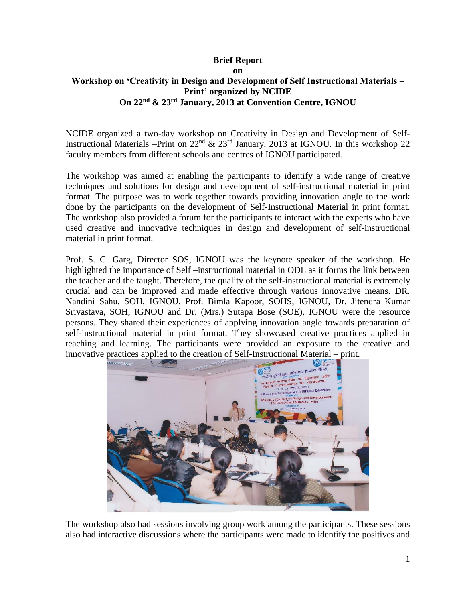## **Brief Report on Workshop on 'Creativity in Design and Development of Self Instructional Materials – Print' organized by NCIDE On 22nd & 23rd January, 2013 at Convention Centre, IGNOU**

NCIDE organized a two-day workshop on Creativity in Design and Development of Self-Instructional Materials –Print on 22nd & 23rd January, 2013 at IGNOU. In this workshop 22 faculty members from different schools and centres of IGNOU participated.

The workshop was aimed at enabling the participants to identify a wide range of creative techniques and solutions for design and development of self-instructional material in print format. The purpose was to work together towards providing innovation angle to the work done by the participants on the development of Self-Instructional Material in print format. The workshop also provided a forum for the participants to interact with the experts who have used creative and innovative techniques in design and development of self-instructional material in print format.

Prof. S. C. Garg, Director SOS, IGNOU was the keynote speaker of the workshop. He highlighted the importance of Self –instructional material in ODL as it forms the link between the teacher and the taught. Therefore, the quality of the self-instructional material is extremely crucial and can be improved and made effective through various innovative means. DR. Nandini Sahu, SOH, IGNOU, Prof. Bimla Kapoor, SOHS, IGNOU, Dr. Jitendra Kumar Srivastava, SOH, IGNOU and Dr. (Mrs.) Sutapa Bose (SOE), IGNOU were the resource persons. They shared their experiences of applying innovation angle towards preparation of self-instructional material in print format. They showcased creative practices applied in teaching and learning. The participants were provided an exposure to the creative and innovative practices applied to the creation of Self-Instructional Material – print.



The workshop also had sessions involving group work among the participants. These sessions also had interactive discussions where the participants were made to identify the positives and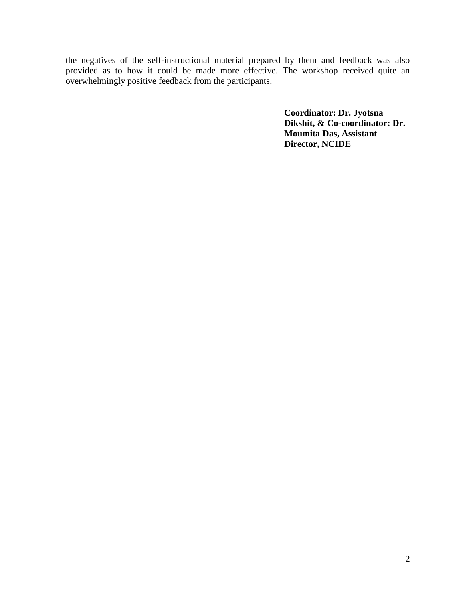the negatives of the self-instructional material prepared by them and feedback was also provided as to how it could be made more effective. The workshop received quite an overwhelmingly positive feedback from the participants.

> **Coordinator: Dr. Jyotsna Dikshit, & Co-coordinator: Dr. Moumita Das, Assistant Director, NCIDE**